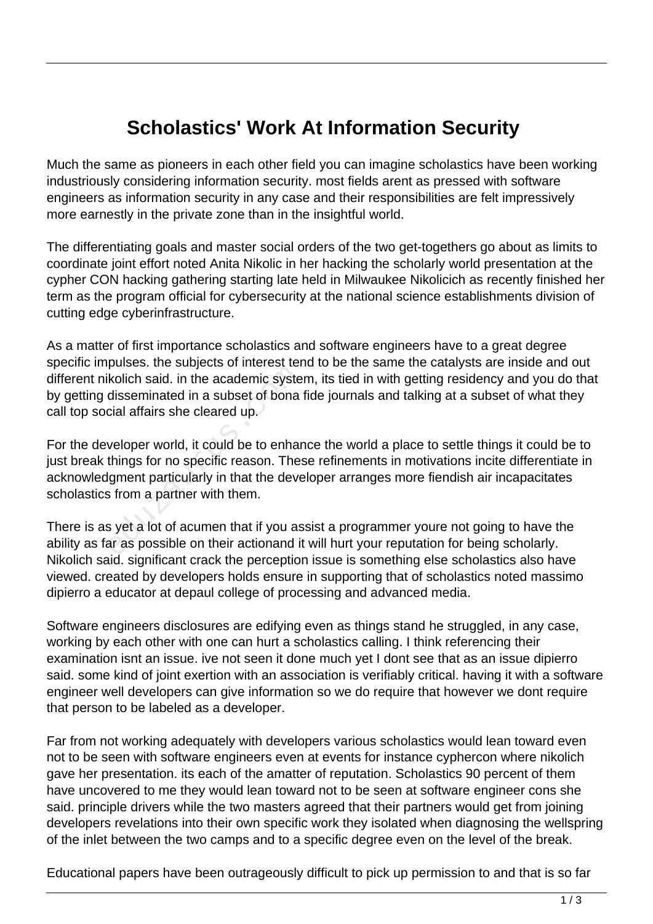## **Scholastics' Work At Information Security**

Much the same as pioneers in each other field you can imagine scholastics have been working industriously considering information security. most fields arent as pressed with software engineers as information security in any case and their responsibilities are felt impressively more earnestly in the private zone than in the insightful world.

The differentiating goals and master social orders of the two get-togethers go about as limits to coordinate joint effort noted Anita Nikolic in her hacking the scholarly world presentation at the cypher CON hacking gathering starting late held in Milwaukee Nikolicich as recently finished her term as the program official for cybersecurity at the national science establishments division of cutting edge cyberinfrastructure.

As a matter of first importance scholastics and software engineers have to a great degree specific impulses. the subjects of interest tend to be the same the catalysts are inside and out different nikolich said. in the academic system, its tied in with getting residency and you do that by getting disseminated in a subset of bona fide journals and talking at a subset of what they call top social affairs she cleared up.

For the developer world, it could be to enhance the world a place to settle things it could be to just break things for no specific reason. These refinements in motivations incite differentiate in acknowledgment particularly in that the developer arranges more fiendish air incapacitates scholastics from a partner with them. kolich said. in the academic syste<br>disseminated in a subset of bona<br>cial affairs she cleared up.<br>veloper world, it could be to enhar<br>things for no specific reason. The:<br>lgment particularly in that the deve<br>s from a partner

There is as yet a lot of acumen that if you assist a programmer youre not going to have the ability as far as possible on their actionand it will hurt your reputation for being scholarly. Nikolich said. significant crack the perception issue is something else scholastics also have viewed. created by developers holds ensure in supporting that of scholastics noted massimo dipierro a educator at depaul college of processing and advanced media.

Software engineers disclosures are edifying even as things stand he struggled, in any case, working by each other with one can hurt a scholastics calling. I think referencing their examination isnt an issue. ive not seen it done much yet I dont see that as an issue dipierro said. some kind of joint exertion with an association is verifiably critical. having it with a software engineer well developers can give information so we do require that however we dont require that person to be labeled as a developer.

Far from not working adequately with developers various scholastics would lean toward even not to be seen with software engineers even at events for instance cyphercon where nikolich gave her presentation. its each of the amatter of reputation. Scholastics 90 percent of them have uncovered to me they would lean toward not to be seen at software engineer cons she said. principle drivers while the two masters agreed that their partners would get from joining developers revelations into their own specific work they isolated when diagnosing the wellspring of the inlet between the two camps and to a specific degree even on the level of the break.

Educational papers have been outrageously difficult to pick up permission to and that is so far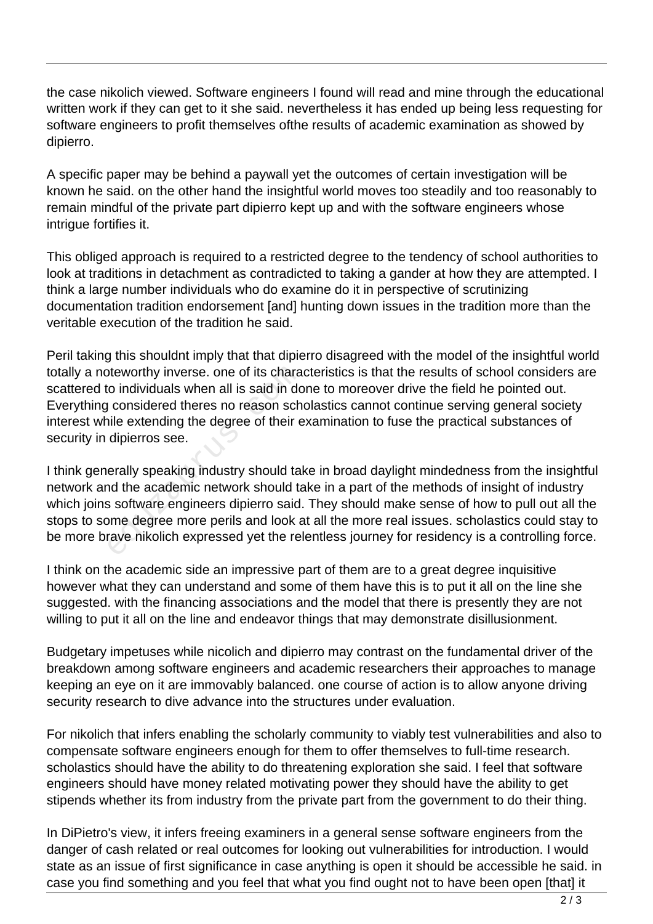the case nikolich viewed. Software engineers I found will read and mine through the educational written work if they can get to it she said. nevertheless it has ended up being less requesting for software engineers to profit themselves ofthe results of academic examination as showed by dipierro.

A specific paper may be behind a paywall yet the outcomes of certain investigation will be known he said. on the other hand the insightful world moves too steadily and too reasonably to remain mindful of the private part dipierro kept up and with the software engineers whose intrigue fortifies it.

This obliged approach is required to a restricted degree to the tendency of school authorities to look at traditions in detachment as contradicted to taking a gander at how they are attempted. I think a large number individuals who do examine do it in perspective of scrutinizing documentation tradition endorsement [and] hunting down issues in the tradition more than the veritable execution of the tradition he said.

Peril taking this shouldnt imply that that dipierro disagreed with the model of the insightful world totally a noteworthy inverse. one of its characteristics is that the results of school considers are scattered to individuals when all is said in done to moreover drive the field he pointed out. Everything considered theres no reason scholastics cannot continue serving general society interest while extending the degree of their examination to fuse the practical substances of security in dipierros see.

I think generally speaking industry should take in broad daylight mindedness from the insightful network and the academic network should take in a part of the methods of insight of industry which joins software engineers dipierro said. They should make sense of how to pull out all the stops to some degree more perils and look at all the more real issues. scholastics could stay to be more brave nikolich expressed yet the relentless journey for residency is a controlling force. betworthy inverse. one of its chara<br>
co individuals when all is said in do<br>
considered theres no reason sch<br>
ille extending the degree of their e<br>
dipierros see.<br>
erally speaking industry should ta<br>
and the academic networ

I think on the academic side an impressive part of them are to a great degree inquisitive however what they can understand and some of them have this is to put it all on the line she suggested. with the financing associations and the model that there is presently they are not willing to put it all on the line and endeavor things that may demonstrate disillusionment.

Budgetary impetuses while nicolich and dipierro may contrast on the fundamental driver of the breakdown among software engineers and academic researchers their approaches to manage keeping an eye on it are immovably balanced. one course of action is to allow anyone driving security research to dive advance into the structures under evaluation.

For nikolich that infers enabling the scholarly community to viably test vulnerabilities and also to compensate software engineers enough for them to offer themselves to full-time research. scholastics should have the ability to do threatening exploration she said. I feel that software engineers should have money related motivating power they should have the ability to get stipends whether its from industry from the private part from the government to do their thing.

In DiPietro's view, it infers freeing examiners in a general sense software engineers from the danger of cash related or real outcomes for looking out vulnerabilities for introduction. I would state as an issue of first significance in case anything is open it should be accessible he said. in case you find something and you feel that what you find ought not to have been open [that] it